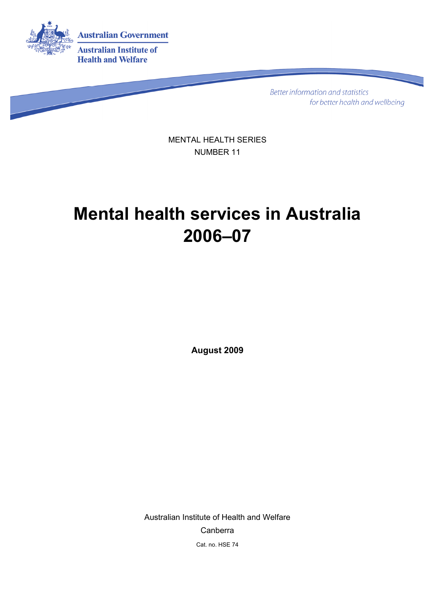

Better information and statistics for better health and wellbeing

MENTAL HEALTH SERIES NUMBER 11

# **Mental health services in Australia 2006–07**

**August 2009**

Australian Institute of Health and Welfare Canberra Cat. no. HSE 74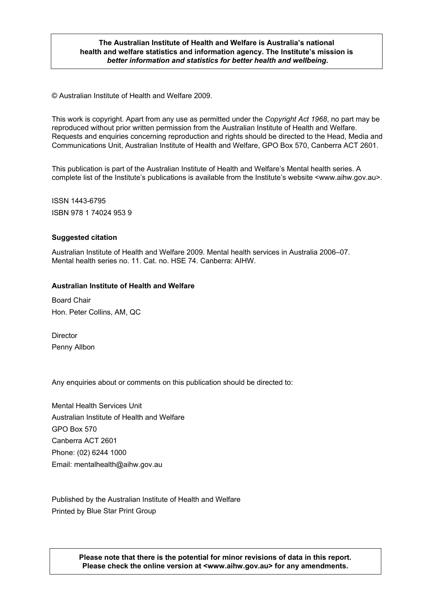#### **The Australian Institute of Health and Welfare is Australia's national health and welfare statistics and information agency. The Institute's mission is**  *better information and statistics for better health and wellbeing***.**

© Australian Institute of Health and Welfare 2009.

This work is copyright. Apart from any use as permitted under the *Copyright Act 1968*, no part may be reproduced without prior written permission from the Australian Institute of Health and Welfare. Requests and enquiries concerning reproduction and rights should be directed to the Head, Media and Communications Unit, Australian Institute of Health and Welfare, GPO Box 570, Canberra ACT 2601.

This publication is part of the Australian Institute of Health and Welfare's Mental health series. A complete list of the Institute's publications is available from the Institute's website <www.aihw.gov.au>.

ISSN 1443-6795 ISBN 978 1 74024 953 9

#### **Suggested citation**

Australian Institute of Health and Welfare 2009. Mental health services in Australia 2006–07. Mental health series no. 11. Cat. no. HSE 74. Canberra: AIHW.

#### **Australian Institute of Health and Welfare**

Board Chair Hon. Peter Collins, AM, QC

Director Penny Allbon

Any enquiries about or comments on this publication should be directed to:

Mental Health Services Unit Australian Institute of Health and Welfare GPO Box 570 Canberra ACT 2601 Phone: (02) 6244 1000 Email: mentalhealth@aihw.gov.au

Published by the Australian Institute of Health and Welfare Printed by Blue Star Print Group

> **Please note that there is the potential for minor revisions of data in this report. Please check the online version at <www.aihw.gov.au> for any amendments.**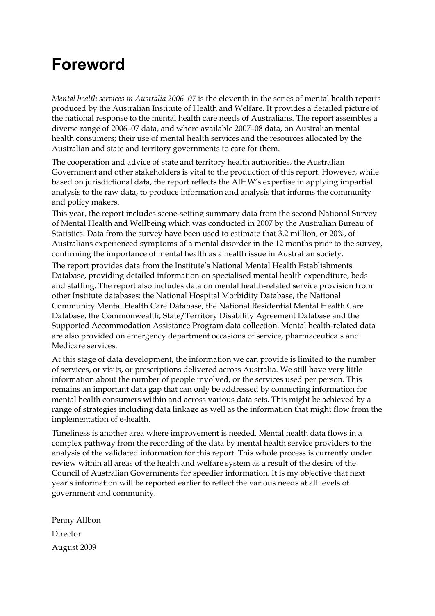### **Foreword**

*Mental health services in Australia 2006–07* is the eleventh in the series of mental health reports produced by the Australian Institute of Health and Welfare. It provides a detailed picture of the national response to the mental health care needs of Australians. The report assembles a diverse range of 2006–07 data, and where available 2007–08 data, on Australian mental health consumers; their use of mental health services and the resources allocated by the Australian and state and territory governments to care for them.

The cooperation and advice of state and territory health authorities, the Australian Government and other stakeholders is vital to the production of this report. However, while based on jurisdictional data, the report reflects the AIHW's expertise in applying impartial analysis to the raw data, to produce information and analysis that informs the community and policy makers.

This year, the report includes scene-setting summary data from the second National Survey of Mental Health and Wellbeing which was conducted in 2007 by the Australian Bureau of Statistics. Data from the survey have been used to estimate that 3.2 million, or 20%, of Australians experienced symptoms of a mental disorder in the 12 months prior to the survey, confirming the importance of mental health as a health issue in Australian society.

The report provides data from the Institute's National Mental Health Establishments Database, providing detailed information on specialised mental health expenditure, beds and staffing. The report also includes data on mental health-related service provision from other Institute databases: the National Hospital Morbidity Database, the National Community Mental Health Care Database, the National Residential Mental Health Care Database, the Commonwealth, State/Territory Disability Agreement Database and the Supported Accommodation Assistance Program data collection. Mental health-related data are also provided on emergency department occasions of service, pharmaceuticals and Medicare services.

At this stage of data development, the information we can provide is limited to the number of services, or visits, or prescriptions delivered across Australia. We still have very little information about the number of people involved, or the services used per person. This remains an important data gap that can only be addressed by connecting information for mental health consumers within and across various data sets. This might be achieved by a range of strategies including data linkage as well as the information that might flow from the implementation of e-health.

Timeliness is another area where improvement is needed. Mental health data flows in a complex pathway from the recording of the data by mental health service providers to the analysis of the validated information for this report. This whole process is currently under review within all areas of the health and welfare system as a result of the desire of the Council of Australian Governments for speedier information. It is my objective that next year's information will be reported earlier to reflect the various needs at all levels of government and community.

Penny Allbon Director August 2009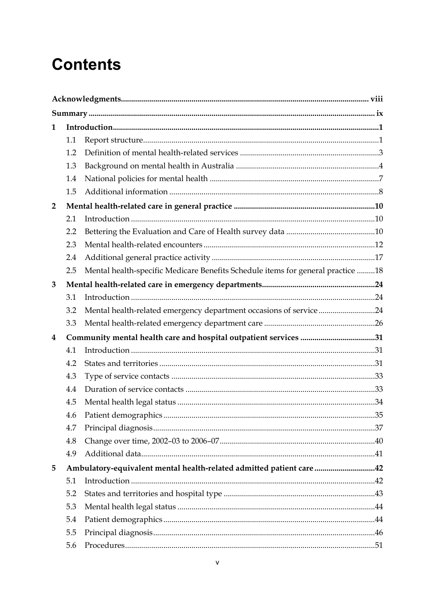## **Contents**

| 1                       |                                                                     |                                                                                 |  |  |  |
|-------------------------|---------------------------------------------------------------------|---------------------------------------------------------------------------------|--|--|--|
|                         | 1.1                                                                 |                                                                                 |  |  |  |
|                         | 1.2                                                                 |                                                                                 |  |  |  |
|                         | 1.3                                                                 |                                                                                 |  |  |  |
|                         | 1.4                                                                 |                                                                                 |  |  |  |
|                         | 1.5                                                                 |                                                                                 |  |  |  |
| $\overline{2}$          |                                                                     |                                                                                 |  |  |  |
|                         | 2.1                                                                 |                                                                                 |  |  |  |
|                         | 2.2                                                                 |                                                                                 |  |  |  |
|                         | 2.3                                                                 |                                                                                 |  |  |  |
|                         | 2.4                                                                 |                                                                                 |  |  |  |
|                         | 2.5                                                                 | Mental health-specific Medicare Benefits Schedule items for general practice 18 |  |  |  |
| 3                       |                                                                     |                                                                                 |  |  |  |
|                         | 3.1                                                                 |                                                                                 |  |  |  |
|                         | 3.2                                                                 | Mental health-related emergency department occasions of service24               |  |  |  |
|                         | 3.3                                                                 |                                                                                 |  |  |  |
| $\overline{\mathbf{4}}$ |                                                                     | Community mental health care and hospital outpatient services 31                |  |  |  |
|                         | 4.1                                                                 |                                                                                 |  |  |  |
|                         | 4.2                                                                 |                                                                                 |  |  |  |
|                         | 4.3                                                                 |                                                                                 |  |  |  |
|                         | 4.4                                                                 |                                                                                 |  |  |  |
|                         | 4.5                                                                 |                                                                                 |  |  |  |
|                         | 4.6                                                                 |                                                                                 |  |  |  |
|                         | 4.7                                                                 |                                                                                 |  |  |  |
|                         | 4.8                                                                 |                                                                                 |  |  |  |
|                         | 4.9                                                                 |                                                                                 |  |  |  |
| 5                       | Ambulatory-equivalent mental health-related admitted patient care42 |                                                                                 |  |  |  |
|                         | 5.1                                                                 |                                                                                 |  |  |  |
|                         | 5.2                                                                 |                                                                                 |  |  |  |
|                         | 5.3                                                                 |                                                                                 |  |  |  |
|                         | 5.4                                                                 |                                                                                 |  |  |  |
|                         | 5.5                                                                 |                                                                                 |  |  |  |
|                         | 5.6                                                                 |                                                                                 |  |  |  |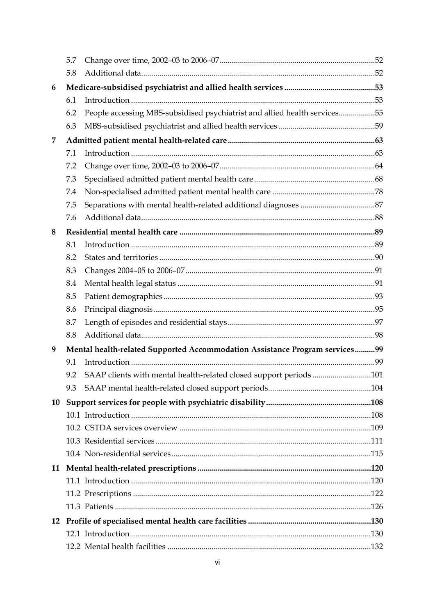|    | 5.7                                                                         |                                                                           |  |  |
|----|-----------------------------------------------------------------------------|---------------------------------------------------------------------------|--|--|
|    | 5.8                                                                         |                                                                           |  |  |
| 6  |                                                                             |                                                                           |  |  |
|    | 6.1                                                                         |                                                                           |  |  |
|    | 6.2                                                                         | People accessing MBS-subsidised psychiatrist and allied health services55 |  |  |
|    | 6.3                                                                         |                                                                           |  |  |
| 7  |                                                                             |                                                                           |  |  |
|    | 7.1                                                                         |                                                                           |  |  |
|    | 7.2                                                                         |                                                                           |  |  |
|    | 7.3                                                                         |                                                                           |  |  |
|    | 7.4                                                                         |                                                                           |  |  |
|    | 7.5                                                                         |                                                                           |  |  |
|    | 7.6                                                                         |                                                                           |  |  |
| 8  |                                                                             |                                                                           |  |  |
|    | 8.1                                                                         |                                                                           |  |  |
|    | 8.2                                                                         |                                                                           |  |  |
|    | 8.3                                                                         |                                                                           |  |  |
|    | 8.4                                                                         |                                                                           |  |  |
|    | 8.5                                                                         |                                                                           |  |  |
|    | 8.6                                                                         |                                                                           |  |  |
|    | 8.7                                                                         |                                                                           |  |  |
|    | 8.8                                                                         |                                                                           |  |  |
| 9  | Mental health-related Supported Accommodation Assistance Program services99 |                                                                           |  |  |
|    | 9.1                                                                         |                                                                           |  |  |
|    | 9.2                                                                         | SAAP clients with mental health-related closed support periods 101        |  |  |
|    | 9.3                                                                         |                                                                           |  |  |
| 10 |                                                                             |                                                                           |  |  |
|    |                                                                             |                                                                           |  |  |
|    |                                                                             |                                                                           |  |  |
|    |                                                                             |                                                                           |  |  |
|    |                                                                             |                                                                           |  |  |
| 11 |                                                                             |                                                                           |  |  |
|    |                                                                             |                                                                           |  |  |
|    |                                                                             |                                                                           |  |  |
|    |                                                                             |                                                                           |  |  |
| 12 |                                                                             |                                                                           |  |  |
|    |                                                                             |                                                                           |  |  |
|    |                                                                             |                                                                           |  |  |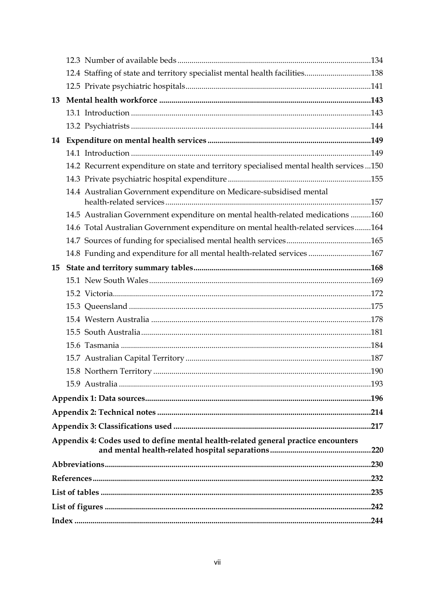|    | 12.4 Staffing of state and territory specialist mental health facilities138             |      |  |  |  |
|----|-----------------------------------------------------------------------------------------|------|--|--|--|
|    |                                                                                         |      |  |  |  |
| 13 |                                                                                         |      |  |  |  |
|    |                                                                                         |      |  |  |  |
|    |                                                                                         |      |  |  |  |
| 14 |                                                                                         |      |  |  |  |
|    |                                                                                         |      |  |  |  |
|    | 14.2 Recurrent expenditure on state and territory specialised mental health services150 |      |  |  |  |
|    |                                                                                         |      |  |  |  |
|    | 14.4 Australian Government expenditure on Medicare-subsidised mental                    |      |  |  |  |
|    | 14.5 Australian Government expenditure on mental health-related medications 160         |      |  |  |  |
|    | 14.6 Total Australian Government expenditure on mental health-related services164       |      |  |  |  |
|    |                                                                                         |      |  |  |  |
|    | 14.8 Funding and expenditure for all mental health-related services 167                 |      |  |  |  |
| 15 |                                                                                         |      |  |  |  |
|    |                                                                                         |      |  |  |  |
|    |                                                                                         |      |  |  |  |
|    |                                                                                         |      |  |  |  |
|    |                                                                                         |      |  |  |  |
|    |                                                                                         |      |  |  |  |
|    |                                                                                         |      |  |  |  |
|    |                                                                                         |      |  |  |  |
|    |                                                                                         |      |  |  |  |
|    |                                                                                         |      |  |  |  |
|    |                                                                                         |      |  |  |  |
|    |                                                                                         |      |  |  |  |
|    |                                                                                         |      |  |  |  |
|    | Appendix 4: Codes used to define mental health-related general practice encounters      | .220 |  |  |  |
|    |                                                                                         |      |  |  |  |
|    |                                                                                         |      |  |  |  |
|    |                                                                                         |      |  |  |  |
|    |                                                                                         |      |  |  |  |
|    |                                                                                         |      |  |  |  |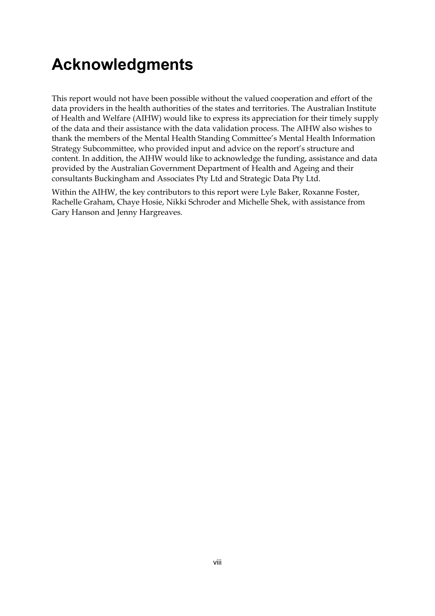## **Acknowledgments**

This report would not have been possible without the valued cooperation and effort of the data providers in the health authorities of the states and territories. The Australian Institute of Health and Welfare (AIHW) would like to express its appreciation for their timely supply of the data and their assistance with the data validation process. The AIHW also wishes to thank the members of the Mental Health Standing Committee's Mental Health Information Strategy Subcommittee, who provided input and advice on the report's structure and content. In addition, the AIHW would like to acknowledge the funding, assistance and data provided by the Australian Government Department of Health and Ageing and their consultants Buckingham and Associates Pty Ltd and Strategic Data Pty Ltd.

Within the AIHW, the key contributors to this report were Lyle Baker, Roxanne Foster, Rachelle Graham, Chaye Hosie, Nikki Schroder and Michelle Shek, with assistance from Gary Hanson and Jenny Hargreaves.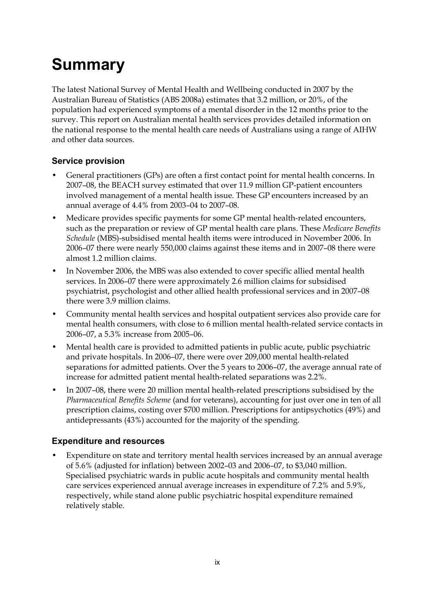# **Summary**

The latest National Survey of Mental Health and Wellbeing conducted in 2007 by the Australian Bureau of Statistics (ABS 2008a) estimates that 3.2 million, or 20%, of the population had experienced symptoms of a mental disorder in the 12 months prior to the survey. This report on Australian mental health services provides detailed information on the national response to the mental health care needs of Australians using a range of AIHW and other data sources.

### **Service provision**

- General practitioners (GPs) are often a first contact point for mental health concerns. In 2007–08, the BEACH survey estimated that over 11.9 million GP-patient encounters involved management of a mental health issue. These GP encounters increased by an annual average of 4.4% from 2003–04 to 2007–08.
- Medicare provides specific payments for some GP mental health-related encounters, such as the preparation or review of GP mental health care plans. These *Medicare Benefits Schedule* (MBS)-subsidised mental health items were introduced in November 2006. In 2006–07 there were nearly 550,000 claims against these items and in 2007–08 there were almost 1.2 million claims.
- In November 2006, the MBS was also extended to cover specific allied mental health services. In 2006–07 there were approximately 2.6 million claims for subsidised psychiatrist, psychologist and other allied health professional services and in 2007–08 there were 3.9 million claims.
- Community mental health services and hospital outpatient services also provide care for mental health consumers, with close to 6 million mental health-related service contacts in 2006–07, a 5.3% increase from 2005–06.
- Mental health care is provided to admitted patients in public acute, public psychiatric and private hospitals. In 2006–07, there were over 209,000 mental health-related separations for admitted patients. Over the 5 years to 2006–07, the average annual rate of increase for admitted patient mental health-related separations was 2.2%.
- In 2007–08, there were 20 million mental health-related prescriptions subsidised by the *Pharmaceutical Benefits Scheme* (and for veterans), accounting for just over one in ten of all prescription claims, costing over \$700 million. Prescriptions for antipsychotics (49%) and antidepressants (43%) accounted for the majority of the spending.

### **Expenditure and resources**

• Expenditure on state and territory mental health services increased by an annual average of 5.6% (adjusted for inflation) between 2002–03 and 2006–07, to \$3,040 million. Specialised psychiatric wards in public acute hospitals and community mental health care services experienced annual average increases in expenditure of 7.2% and 5.9%, respectively, while stand alone public psychiatric hospital expenditure remained relatively stable.